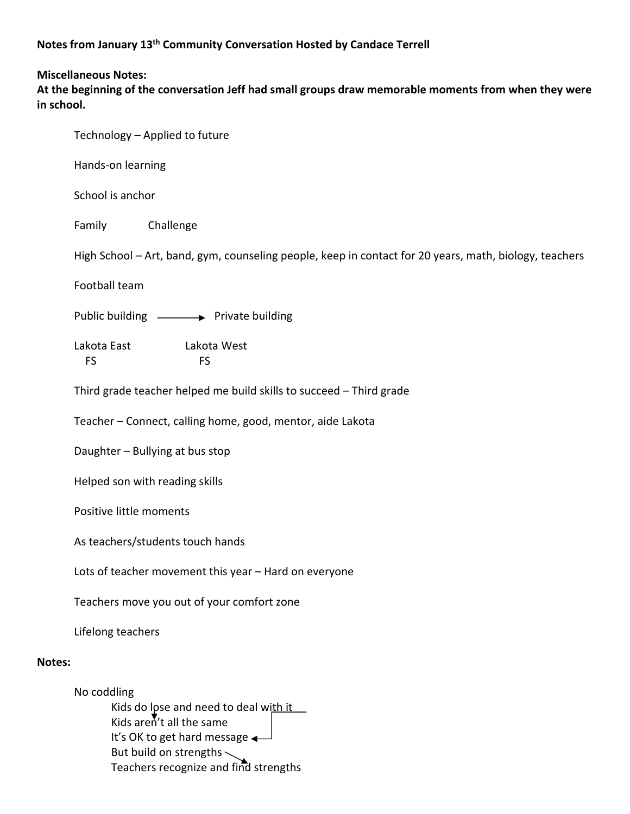## **Miscellaneous Notes:**

**At the beginning of the conversation Jeff had small groups draw memorable moments from when they were in school.**

|        | Technology - Applied to future                                                                         |
|--------|--------------------------------------------------------------------------------------------------------|
|        | Hands-on learning                                                                                      |
|        | School is anchor                                                                                       |
|        | Challenge<br>Family                                                                                    |
|        | High School - Art, band, gym, counseling people, keep in contact for 20 years, math, biology, teachers |
|        | Football team                                                                                          |
|        | Public building - Private building                                                                     |
|        | Lakota East<br>Lakota West<br>FS<br><b>FS</b>                                                          |
|        | Third grade teacher helped me build skills to succeed - Third grade                                    |
|        | Teacher - Connect, calling home, good, mentor, aide Lakota                                             |
|        | Daughter - Bullying at bus stop                                                                        |
|        | Helped son with reading skills                                                                         |
|        | Positive little moments                                                                                |
|        | As teachers/students touch hands                                                                       |
|        | Lots of teacher movement this year - Hard on everyone                                                  |
|        | Teachers move you out of your comfort zone                                                             |
|        | Lifelong teachers                                                                                      |
| Notes: |                                                                                                        |
|        | No coddling<br>Kids do lose and need to deal with it<br>Kids aren't all the same                       |

It's OK to get hard message  $\leftarrow$ But build on strengths

Teachers recognize and find strengths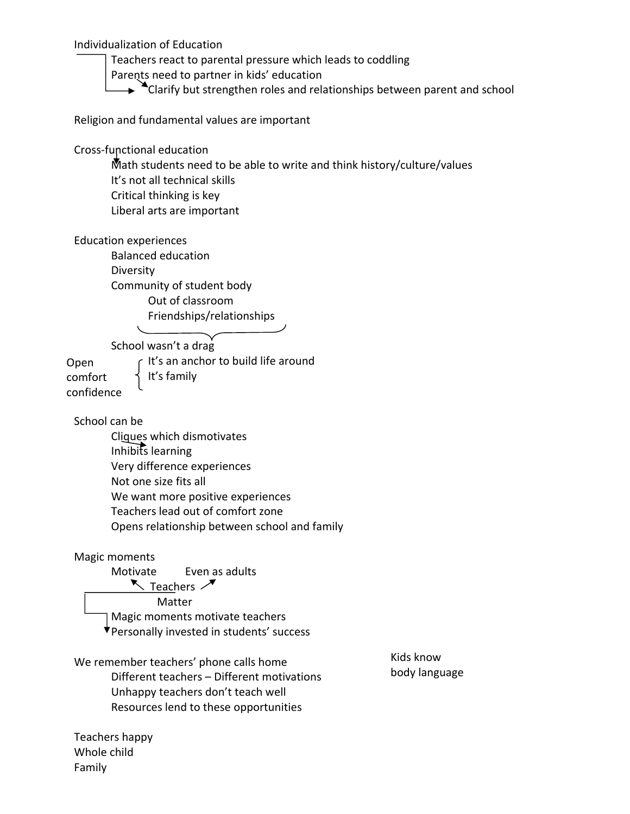Individualization of Education

 Teachers react to parental pressure which leads to coddling Parents need to partner in kids' education  $\rightarrow$   $\sim$  Clarify but strengthen roles and relationships between parent and school

Religion and fundamental values are important

Cross‐functional education

 Math students need to be able to write and think history/culture/values It's not all technical skills Critical thinking is key Liberal arts are important

Education experiences

 Balanced education Diversity Community of student body Out of classroom Friendships/relationships

School wasn't a drag

comfort din 1 d's family Open confidence

 $\Gamma$  It's an anchor to build life around

School can be

 Cliques which dismotivates Inhibits learning Very difference experiences Not one size fits all We want more positive experiences Teachers lead out of comfort zone Opens relationship between school and family

## Magic moments

 Motivate Even as adults  $\sum$  Teachers  $\sum$  Matter Magic moments motivate teachers Personally invested in students' success

We remember teachers' phone calls home Different teachers – Different motivations Unhappy teachers don't teach well Resources lend to these opportunities

Kids know body language

Teachers happy Whole child Family